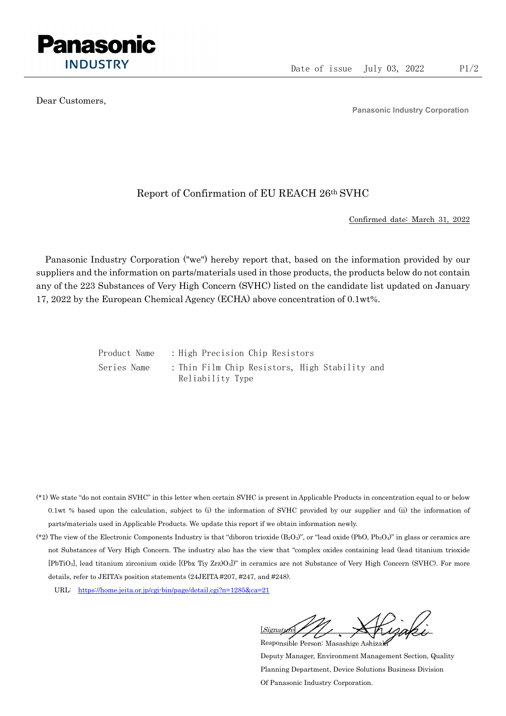

Dear Customers,

Panasonic Industry Corporation

## Report of Confirmation of EU REACH 26th SVHC

Confirmed date: March 31, 2022

Panasonic Industry Corporation ("we") hereby report that, based on the information provided by our suppliers and the information on parts/materials used in those products, the products below do not contain any of the 223 Substances of Very High Concern (SVHC) listed on the candidate list updated on January 17, 2022 by the European Chemical Agency (ECHA) above concentration of 0.1wt%.

Product Name : High Precision Chip Resistors Series Name : Thin Film Chip Resistors, High Stability and Reliability Type

- (\*1) We state "do not contain SVHC" in this letter when certain SVHC is present in Applicable Products in concentration equal to or below 0.1wt % based upon the calculation, subject to (i) the information of SVHC provided by our supplier and (ii) the information of parts/materials used in Applicable Products. We update this report if we obtain information newly.
- (\*2) The view of the Electronic Components Industry is that "diboron trioxide  $(B_2O_3)$ ", or "lead oxide (PbO, Pb<sub>3</sub>O<sub>4</sub>)" in glass or ceramics are not Substances of Very High Concern. The industry also has the view that "complex oxides containing lead (lead titanium trioxide [PbTiO3], lead titanium zirconium oxide [(Pbx Tiy Zrz)O3])" in ceramics are not Substance of Very High Concern (SVHC). For more details, refer to JEITA's position statements (24JEITA #207, #247, and #248).
	- URL: https://home.jeita.or.jp/cgi-bin/page/detail.cgi?n=1285&ca=21

[Signature] Responsible Person: Masashige Ashizaki

Deputy Manager, Environment Management Section, Quality Planning Department, Device Solutions Business Division Of Panasonic Industry Corporation.